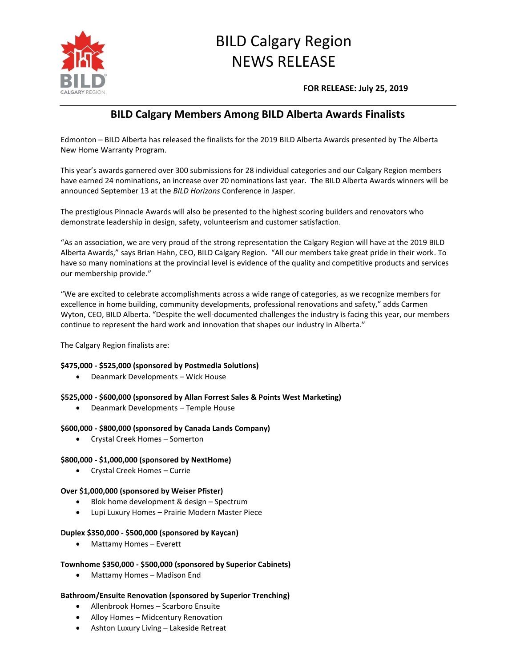

# BILD Calgary Region NEWS RELEASE

**FOR RELEASE: July 25, 2019**

# **BILD Calgary Members Among BILD Alberta Awards Finalists**

Edmonton – BILD Alberta has released the finalists for the 2019 BILD Alberta Awards presented by The Alberta New Home Warranty Program.

This year's awards garnered over 300 submissions for 28 individual categories and our Calgary Region members have earned 24 nominations, an increase over 20 nominations last year. The BILD Alberta Awards winners will be announced September 13 at the *BILD Horizons* Conference in Jasper.

The prestigious Pinnacle Awards will also be presented to the highest scoring builders and renovators who demonstrate leadership in design, safety, volunteerism and customer satisfaction.

"As an association, we are very proud of the strong representation the Calgary Region will have at the 2019 BILD Alberta Awards," says Brian Hahn, CEO, BILD Calgary Region. "All our members take great pride in their work. To have so many nominations at the provincial level is evidence of the quality and competitive products and services our membership provide."

"We are excited to celebrate accomplishments across a wide range of categories, as we recognize members for excellence in home building, community developments, professional renovations and safety," adds Carmen Wyton, CEO, BILD Alberta. "Despite the well-documented challenges the industry is facing this year, our members continue to represent the hard work and innovation that shapes our industry in Alberta."

The Calgary Region finalists are:

# **\$475,000 - \$525,000 (sponsored by Postmedia Solutions)**

Deanmark Developments – Wick House

# **\$525,000 - \$600,000 (sponsored by Allan Forrest Sales & Points West Marketing)**

Deanmark Developments – Temple House

# **\$600,000 - \$800,000 (sponsored by Canada Lands Company)**

Crystal Creek Homes – Somerton

# **\$800,000 - \$1,000,000 (sponsored by NextHome)**

Crystal Creek Homes – Currie

# **Over \$1,000,000 (sponsored by Weiser Pfister)**

- Blok home development & design Spectrum
- Lupi Luxury Homes Prairie Modern Master Piece

# **Duplex \$350,000 - \$500,000 (sponsored by Kaycan)**

Mattamy Homes – Everett

# **Townhome \$350,000 - \$500,000 (sponsored by Superior Cabinets)**

Mattamy Homes – Madison End

# **Bathroom/Ensuite Renovation (sponsored by Superior Trenching)**

- Allenbrook Homes Scarboro Ensuite
- Alloy Homes Midcentury Renovation
- Ashton Luxury Living Lakeside Retreat